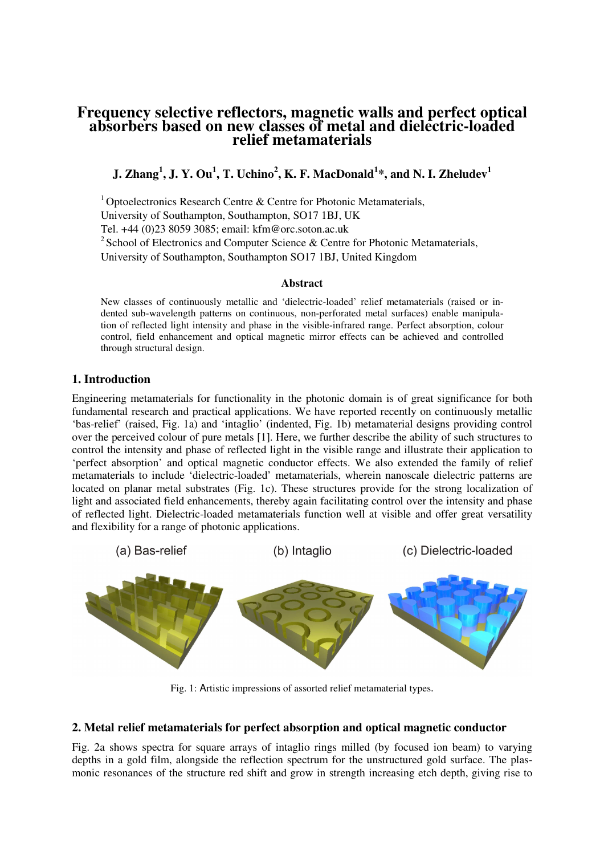# **Frequency selective reflectors, magnetic walls and perfect optical absorbers based on new classes of metal and dielectric-loaded relief metamaterials**

**J. Zhang<sup>1</sup> , J. Y. Ou<sup>1</sup> , T. Uchino<sup>2</sup> , K. F. MacDonald<sup>1</sup> \*, and N. I. Zheludev<sup>1</sup>**

<sup>1</sup> Optoelectronics Research Centre  $\&$  Centre for Photonic Metamaterials,

University of Southampton, Southampton, SO17 1BJ, UK

Tel. +44 (0)23 8059 3085; email: kfm@orc.soton.ac.uk

<sup>2</sup> School of Electronics and Computer Science  $\&$  Centre for Photonic Metamaterials,

University of Southampton, Southampton SO17 1BJ, United Kingdom

### **Abstract**

New classes of continuously metallic and 'dielectric-loaded' relief metamaterials (raised or indented sub-wavelength patterns on continuous, non-perforated metal surfaces) enable manipulation of reflected light intensity and phase in the visible-infrared range. Perfect absorption, colour control, field enhancement and optical magnetic mirror effects can be achieved and controlled through structural design.

## **1. Introduction**

Engineering metamaterials for functionality in the photonic domain is of great significance for both fundamental research and practical applications. We have reported recently on continuously metallic 'bas-relief' (raised, Fig. 1a) and 'intaglio' (indented, Fig. 1b) metamaterial designs providing control over the perceived colour of pure metals [1]. Here, we further describe the ability of such structures to control the intensity and phase of reflected light in the visible range and illustrate their application to 'perfect absorption' and optical magnetic conductor effects. We also extended the family of relief metamaterials to include 'dielectric-loaded' metamaterials, wherein nanoscale dielectric patterns are located on planar metal substrates (Fig. 1c). These structures provide for the strong localization of light and associated field enhancements, thereby again facilitating control over the intensity and phase of reflected light. Dielectric-loaded metamaterials function well at visible and offer great versatility and flexibility for a range of photonic applications.



Fig. 1: Artistic impressions of assorted relief metamaterial types.

## **2. Metal relief metamaterials for perfect absorption and optical magnetic conductor**

Fig. 2a shows spectra for square arrays of intaglio rings milled (by focused ion beam) to varying depths in a gold film, alongside the reflection spectrum for the unstructured gold surface. The plasmonic resonances of the structure red shift and grow in strength increasing etch depth, giving rise to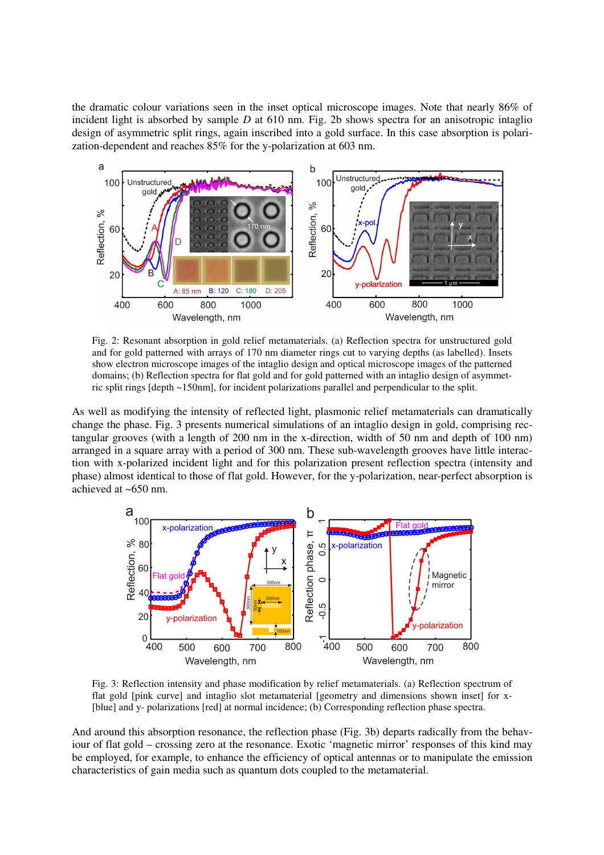the dramatic colour variations seen in the inset optical microscope images. Note that nearly 86% of incident light is absorbed by sample *D* at 610 nm. Fig. 2b shows spectra for an anisotropic intaglio design of asymmetric split rings, again inscribed into a gold surface. In this case absorption is polarization-dependent and reaches 85% for the y-polarization at 603 nm.



Fig. 2: Resonant absorption in gold relief metamaterials. (a) Reflection spectra for unstructured gold and for gold patterned with arrays of 170 nm diameter rings cut to varying depths (as labelled). Insets show electron microscope images of the intaglio design and optical microscope images of the patterned domains; (b) Reflection spectra for flat gold and for gold patterned with an intaglio design of asymmetric split rings [depth ~150nm], for incident polarizations parallel and perpendicular to the split.

As well as modifying the intensity of reflected light, plasmonic relief metamaterials can dramatically change the phase. Fig. 3 presents numerical simulations of an intaglio design in gold, comprising rectangular grooves (with a length of 200 nm in the x-direction, width of 50 nm and depth of 100 nm) arranged in a square array with a period of 300 nm. These sub-wavelength grooves have little interaction with x-polarized incident light and for this polarization present reflection spectra (intensity and phase) almost identical to those of flat gold. However, for the y-polarization, near-perfect absorption is achieved at ~650 nm.



Fig. 3: Reflection intensity and phase modification by relief metamaterials. (a) Reflection spectrum of flat gold [pink curve] and intaglio slot metamaterial [geometry and dimensions shown inset] for x- [blue] and y- polarizations [red] at normal incidence; (b) Corresponding reflection phase spectra.

And around this absorption resonance, the reflection phase (Fig. 3b) departs radically from the behaviour of flat gold – crossing zero at the resonance. Exotic 'magnetic mirror' responses of this kind may be employed, for example, to enhance the efficiency of optical antennas or to manipulate the emission characteristics of gain media such as quantum dots coupled to the metamaterial.